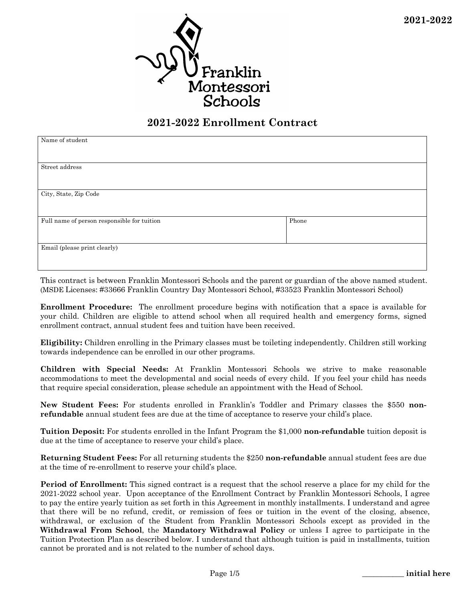

### **2021-2022 Enrollment Contract**

| Name of student                             |       |  |
|---------------------------------------------|-------|--|
|                                             |       |  |
|                                             |       |  |
| Street address                              |       |  |
|                                             |       |  |
|                                             |       |  |
|                                             |       |  |
| City, State, Zip Code                       |       |  |
|                                             |       |  |
|                                             |       |  |
|                                             |       |  |
| Full name of person responsible for tuition | Phone |  |
|                                             |       |  |
|                                             |       |  |
| Email (please print clearly)                |       |  |
|                                             |       |  |
|                                             |       |  |

This contract is between Franklin Montessori Schools and the parent or guardian of the above named student. (MSDE Licenses: #33666 Franklin Country Day Montessori School, #33523 Franklin Montessori School)

**Enrollment Procedure:** The enrollment procedure begins with notification that a space is available for your child. Children are eligible to attend school when all required health and emergency forms, signed enrollment contract, annual student fees and tuition have been received.

**Eligibility:** Children enrolling in the Primary classes must be toileting independently. Children still working towards independence can be enrolled in our other programs.

**Children with Special Needs:** At Franklin Montessori Schools we strive to make reasonable accommodations to meet the developmental and social needs of every child. If you feel your child has needs that require special consideration, please schedule an appointment with the Head of School.

**New Student Fees:** For students enrolled in Franklin's Toddler and Primary classes the \$550 **nonrefundable** annual student fees are due at the time of acceptance to reserve your child's place.

**Tuition Deposit:** For students enrolled in the Infant Program the \$1,000 **non-refundable** tuition deposit is due at the time of acceptance to reserve your child's place.

**Returning Student Fees:** For all returning students the \$250 **non-refundable** annual student fees are due at the time of re-enrollment to reserve your child's place.

**Period of Enrollment:** This signed contract is a request that the school reserve a place for my child for the 2021-2022 school year. Upon acceptance of the Enrollment Contract by Franklin Montessori Schools, I agree to pay the entire yearly tuition as set forth in this Agreement in monthly installments. I understand and agree that there will be no refund, credit, or remission of fees or tuition in the event of the closing, absence, withdrawal, or exclusion of the Student from Franklin Montessori Schools except as provided in the **Withdrawal From School**, the **Mandatory Withdrawal Policy** or unless I agree to participate in the Tuition Protection Plan as described below. I understand that although tuition is paid in installments, tuition cannot be prorated and is not related to the number of school days.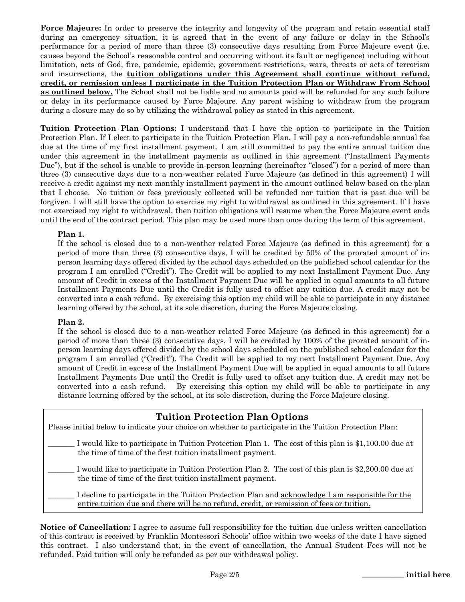**Force Majeure:** In order to preserve the integrity and longevity of the program and retain essential staff during an emergency situation, it is agreed that in the event of any failure or delay in the School's performance for a period of more than three (3) consecutive days resulting from Force Majeure event (i.e. causes beyond the School's reasonable control and occurring without its fault or negligence) including without limitation, acts of God, fire, pandemic, epidemic, government restrictions, wars, threats or acts of terrorism and insurrections, the **tuition obligations under this Agreement shall continue without refund, credit, or remission unless I participate in the Tuition Protection Plan or Withdraw From School as outlined below.** The School shall not be liable and no amounts paid will be refunded for any such failure or delay in its performance caused by Force Majeure. Any parent wishing to withdraw from the program during a closure may do so by utilizing the withdrawal policy as stated in this agreement.

**Tuition Protection Plan Options:** I understand that I have the option to participate in the Tuition Protection Plan. If I elect to participate in the Tuition Protection Plan, I will pay a non-refundable annual fee due at the time of my first installment payment. I am still committed to pay the entire annual tuition due under this agreement in the installment payments as outlined in this agreement ("Installment Payments Due"), but if the school is unable to provide in-person learning (hereinafter "closed") for a period of more than three (3) consecutive days due to a non-weather related Force Majeure (as defined in this agreement) I will receive a credit against my next monthly installment payment in the amount outlined below based on the plan that I choose. No tuition or fees previously collected will be refunded nor tuition that is past due will be forgiven. I will still have the option to exercise my right to withdrawal as outlined in this agreement. If I have not exercised my right to withdrawal, then tuition obligations will resume when the Force Majeure event ends until the end of the contract period. This plan may be used more than once during the term of this agreement.

### **Plan 1.**

If the school is closed due to a non-weather related Force Majeure (as defined in this agreement) for a period of more than three (3) consecutive days, I will be credited by 50% of the prorated amount of inperson learning days offered divided by the school days scheduled on the published school calendar for the program I am enrolled ("Credit"). The Credit will be applied to my next Installment Payment Due. Any amount of Credit in excess of the Installment Payment Due will be applied in equal amounts to all future Installment Payments Due until the Credit is fully used to offset any tuition due. A credit may not be converted into a cash refund. By exercising this option my child will be able to participate in any distance learning offered by the school, at its sole discretion, during the Force Majeure closing.

### **Plan 2.**

If the school is closed due to a non-weather related Force Majeure (as defined in this agreement) for a period of more than three (3) consecutive days, I will be credited by 100% of the prorated amount of inperson learning days offered divided by the school days scheduled on the published school calendar for the program I am enrolled ("Credit"). The Credit will be applied to my next Installment Payment Due. Any amount of Credit in excess of the Installment Payment Due will be applied in equal amounts to all future Installment Payments Due until the Credit is fully used to offset any tuition due. A credit may not be converted into a cash refund. By exercising this option my child will be able to participate in any distance learning offered by the school, at its sole discretion, during the Force Majeure closing.

| <b>Tuition Protection Plan Options</b><br>Please initial below to indicate your choice on whether to participate in the Tuition Protection Plan:                                                    |  |  |  |
|-----------------------------------------------------------------------------------------------------------------------------------------------------------------------------------------------------|--|--|--|
| I would like to participate in Tuition Protection Plan 1. The cost of this plan is \$1,100.00 due at<br>the time of time of the first tuition installment payment.                                  |  |  |  |
| I would like to participate in Tuition Protection Plan 2. The cost of this plan is \$2,200.00 due at<br>the time of time of the first tuition installment payment.                                  |  |  |  |
| I decline to participate in the Tuition Protection Plan and <u>acknowledge I am responsible for the</u><br>entire tuition due and there will be no refund, credit, or remission of fees or tuition. |  |  |  |
|                                                                                                                                                                                                     |  |  |  |

**Notice of Cancellation:** I agree to assume full responsibility for the tuition due unless written cancellation of this contract is received by Franklin Montessori Schools' office within two weeks of the date I have signed this contract. I also understand that, in the event of cancellation, the Annual Student Fees will not be refunded. Paid tuition will only be refunded as per our withdrawal policy.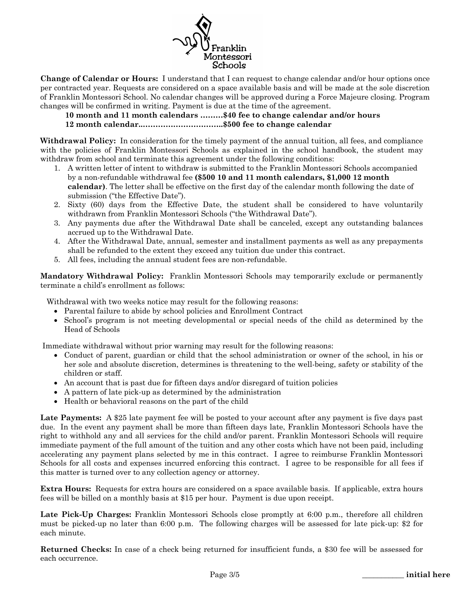

**Change of Calendar or Hours:** I understand that I can request to change calendar and/or hour options once per contracted year. Requests are considered on a space available basis and will be made at the sole discretion of Franklin Montessori School. No calendar changes will be approved during a Force Majeure closing. Program changes will be confirmed in writing. Payment is due at the time of the agreement.

### **10 month and 11 month calendars ………\$40 fee to change calendar and/or hours 12 month calendar..…………………………..\$500 fee to change calendar**

**Withdrawal Policy:** In consideration for the timely payment of the annual tuition, all fees, and compliance with the policies of Franklin Montessori Schools as explained in the school handbook, the student may withdraw from school and terminate this agreement under the following conditions:

- 1. A written letter of intent to withdraw is submitted to the Franklin Montessori Schools accompanied by a non-refundable withdrawal fee **(\$500 10 and 11 month calendars, \$1,000 12 month calendar)**. The letter shall be effective on the first day of the calendar month following the date of submission ("the Effective Date").
- 2. Sixty (60) days from the Effective Date, the student shall be considered to have voluntarily withdrawn from Franklin Montessori Schools ("the Withdrawal Date").
- 3. Any payments due after the Withdrawal Date shall be canceled, except any outstanding balances accrued up to the Withdrawal Date.
- 4. After the Withdrawal Date, annual, semester and installment payments as well as any prepayments shall be refunded to the extent they exceed any tuition due under this contract.
- 5. All fees, including the annual student fees are non-refundable.

**Mandatory Withdrawal Policy:** Franklin Montessori Schools may temporarily exclude or permanently terminate a child's enrollment as follows:

Withdrawal with two weeks notice may result for the following reasons:

- Parental failure to abide by school policies and Enrollment Contract
- School's program is not meeting developmental or special needs of the child as determined by the Head of Schools

Immediate withdrawal without prior warning may result for the following reasons:

- Conduct of parent, guardian or child that the school administration or owner of the school, in his or her sole and absolute discretion, determines is threatening to the well-being, safety or stability of the children or staff.
- An account that is past due for fifteen days and/or disregard of tuition policies
- A pattern of late pick-up as determined by the administration
- Health or behavioral reasons on the part of the child

Late Payments: A \$25 late payment fee will be posted to your account after any payment is five days past due. In the event any payment shall be more than fifteen days late, Franklin Montessori Schools have the right to withhold any and all services for the child and/or parent. Franklin Montessori Schools will require immediate payment of the full amount of the tuition and any other costs which have not been paid, including accelerating any payment plans selected by me in this contract. I agree to reimburse Franklin Montessori Schools for all costs and expenses incurred enforcing this contract. I agree to be responsible for all fees if this matter is turned over to any collection agency or attorney.

**Extra Hours:** Requests for extra hours are considered on a space available basis. If applicable, extra hours fees will be billed on a monthly basis at \$15 per hour. Payment is due upon receipt.

**Late Pick-Up Charges:** Franklin Montessori Schools close promptly at 6:00 p.m., therefore all children must be picked-up no later than 6:00 p.m. The following charges will be assessed for late pick-up: \$2 for each minute.

**Returned Checks:** In case of a check being returned for insufficient funds, a \$30 fee will be assessed for each occurrence.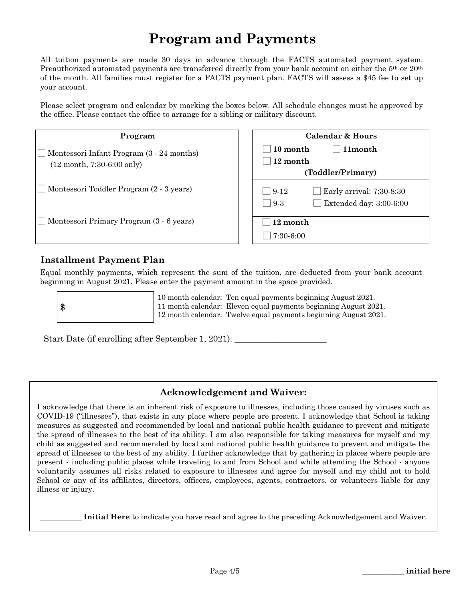# **Program and Payments**

All tuition payments are made 30 days in advance through the FACTS automated payment system. Preauthorized automated payments are transferred directly from your bank account on either the 5<sup>th</sup> or 20<sup>th</sup> of the month. All families must register for a FACTS payment plan. FACTS will assess a \$45 fee to set up your account.

Please select program and calendar by marking the boxes below. All schedule changes must be approved by the office. Please contact the office to arrange for a sibling or military discount.

| Program                                                                                   | <b>Calendar &amp; Hours</b>                                                               |
|-------------------------------------------------------------------------------------------|-------------------------------------------------------------------------------------------|
| Montessori Infant Program (3 - 24 months)<br>$(12 \text{ month}, 7:30-6:00 \text{ only})$ | 11month<br>10 month<br>12 month<br>(Toddler/Primary)                                      |
| Montessori Toddler Program (2 - 3 years)                                                  | Early arrival: 7:30-8:30<br>$9-12$<br>Extended day: $3:00-6:00$<br>$9-3$<br>$\mathcal{L}$ |
| Montessori Primary Program (3 - 6 years)                                                  | 12 month<br>$7:30-6:00$                                                                   |

### **Installment Payment Plan**

Equal monthly payments, which represent the sum of the tuition, are deducted from your bank account beginning in August 2021. Please enter the payment amount in the space provided.

**\$**

10 month calendar: Ten equal payments beginning August 2021. 11 month calendar: Eleven equal payments beginning August 2021. 12 month calendar: Twelve equal payments beginning August 2021.

Start Date (if enrolling after September 1, 2021):

### **Acknowledgement and Waiver:**

I acknowledge that there is an inherent risk of exposure to illnesses, including those caused by viruses such as COVID-19 ("illnesses"), that exists in any place where people are present. I acknowledge that School is taking measures as suggested and recommended by local and national public health guidance to prevent and mitigate the spread of illnesses to the best of its ability. I am also responsible for taking measures for myself and my child as suggested and recommended by local and national public health guidance to prevent and mitigate the spread of illnesses to the best of my ability. I further acknowledge that by gathering in places where people are present - including public places while traveling to and from School and while attending the School - anyone voluntarily assumes all risks related to exposure to illnesses and agree for myself and my child not to hold School or any of its affiliates, directors, officers, employees, agents, contractors, or volunteers liable for any illness or injury.

Initial Here to indicate you have read and agree to the preceding Acknowledgement and Waiver.